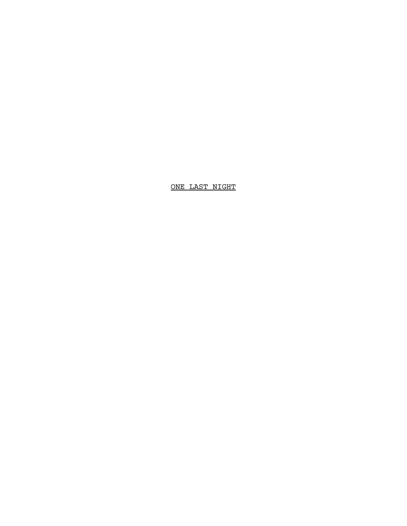ONE LAST NIGHT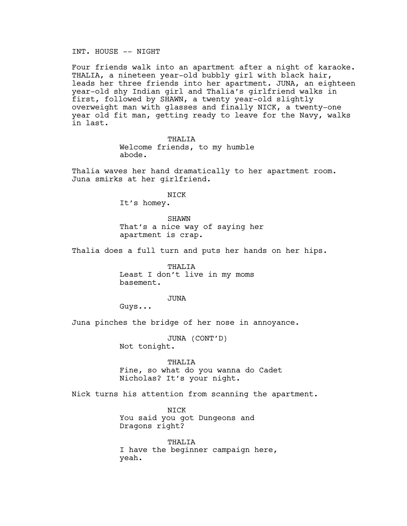INT. HOUSE -- NIGHT

Four friends walk into an apartment after a night of karaoke. THALIA, a nineteen year-old bubbly girl with black hair, leads her three friends into her apartment. JUNA, an eighteen year-old shy Indian girl and Thalia's girlfriend walks in first, followed by SHAWN, a twenty year-old slightly overweight man with glasses and finally NICK, a twenty-one year old fit man, getting ready to leave for the Navy, walks in last.

> THALIA Welcome friends, to my humble abode.

Thalia waves her hand dramatically to her apartment room. Juna smirks at her girlfriend.

NICK

It's homey.

SHAWN That's a nice way of saying her apartment is crap.

Thalia does a full turn and puts her hands on her hips.

THALIA Least I don't live in my moms basement.

## JUNA

Guys...

Juna pinches the bridge of her nose in annoyance.

JUNA (CONT'D)

Not tonight.

THALIA Fine, so what do you wanna do Cadet Nicholas? It's your night.

Nick turns his attention from scanning the apartment.

NICK You said you got Dungeons and Dragons right?

THALIA I have the beginner campaign here, yeah.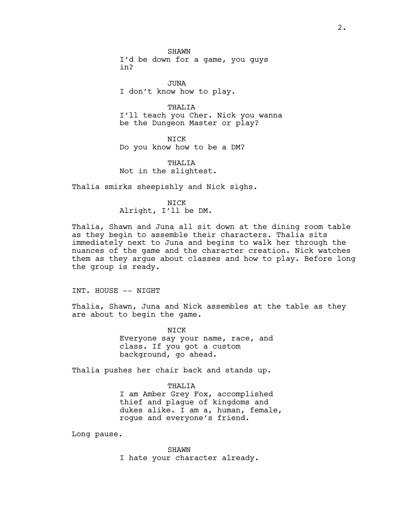SHAWN I'd be down for a game, you guys in?

JUNA I don't know how to play.

THALIA I'll teach you Cher. Nick you wanna be the Dungeon Master or play?

NICK Do you know how to be a DM?

THALIA Not in the slightest.

Thalia smirks sheepishly and Nick sighs.

NICK Alright, I'll be DM.

Thalia, Shawn and Juna all sit down at the dining room table as they begin to assemble their characters. Thalia sits immediately next to Juna and begins to walk her through the nuances of the game and the character creation. Nick watches them as they argue about classes and how to play. Before long the group is ready.

INT. HOUSE -- NIGHT

Thalia, Shawn, Juna and Nick assembles at the table as they are about to begin the game.

> NICK Everyone say your name, race, and class. If you got a custom background, go ahead.

Thalia pushes her chair back and stands up.

THALIA I am Amber Grey Fox, accomplished thief and plague of kingdoms and dukes alike. I am a, human, female, rogue and everyone's friend.

Long pause.

SHAWN I hate your character already.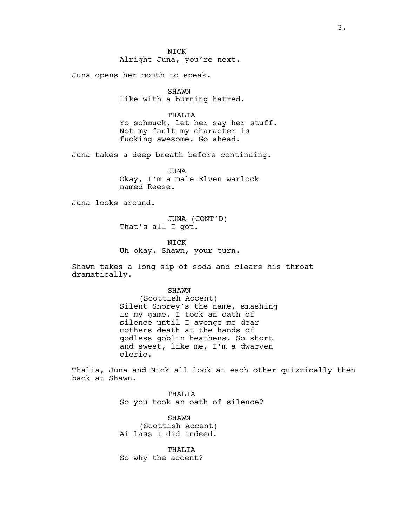Juna opens her mouth to speak.

SHAWN Like with a burning hatred.

# THALIA

Yo schmuck, let her say her stuff. Not my fault my character is fucking awesome. Go ahead.

Juna takes a deep breath before continuing.

JUNA Okay, I'm a male Elven warlock named Reese.

Juna looks around.

JUNA (CONT'D) That's all I got.

**NTCK** Uh okay, Shawn, your turn.

Shawn takes a long sip of soda and clears his throat dramatically.

#### SHAWN

(Scottish Accent) Silent Snorey's the name, smashing is my game. I took an oath of silence until I avenge me dear mothers death at the hands of godless goblin heathens. So short and sweet, like me, I'm a dwarven cleric.

Thalia, Juna and Nick all look at each other quizzically then back at Shawn.

> THALIA So you took an oath of silence?

SHAWN (Scottish Accent) Ai lass I did indeed.

THALIA So why the accent?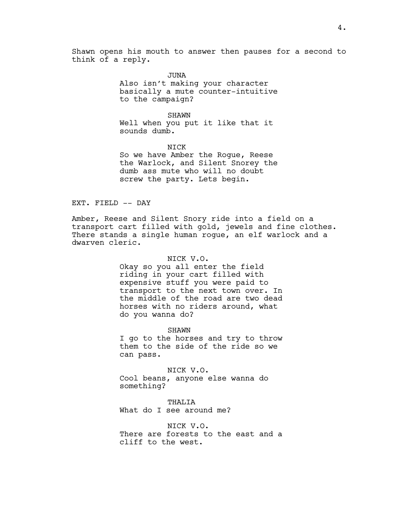Shawn opens his mouth to answer then pauses for a second to think of a reply.

> JUNA Also isn't making your character basically a mute counter-intuitive to the campaign?

SHAWN Well when you put it like that it sounds dumb.

NICK So we have Amber the Rogue, Reese the Warlock, and Silent Snorey the dumb ass mute who will no doubt screw the party. Lets begin.

# EXT. FIELD -- DAY

Amber, Reese and Silent Snory ride into a field on a transport cart filled with gold, jewels and fine clothes. There stands a single human rogue, an elf warlock and a dwarven cleric.

# NICK V.O.

Okay so you all enter the field riding in your cart filled with expensive stuff you were paid to transport to the next town over. In the middle of the road are two dead horses with no riders around, what do you wanna do?

SHAWN I go to the horses and try to throw them to the side of the ride so we can pass.

NICK V.O. Cool beans, anyone else wanna do something?

THALIA What do I see around me?

NICK V.O. There are forests to the east and a cliff to the west.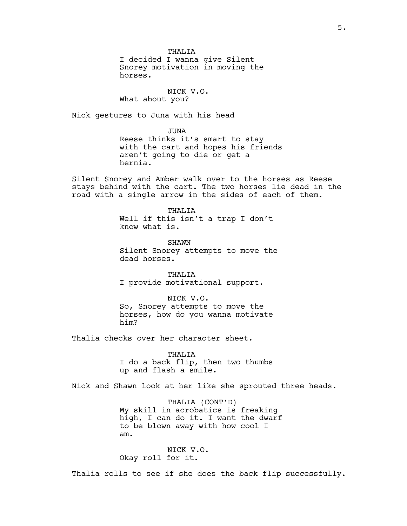THALIA I decided I wanna give Silent Snorey motivation in moving the horses.

NICK V.O. What about you?

Nick gestures to Juna with his head

JUNA Reese thinks it's smart to stay with the cart and hopes his friends aren't going to die or get a hernia.

Silent Snorey and Amber walk over to the horses as Reese stays behind with the cart. The two horses lie dead in the road with a single arrow in the sides of each of them.

> THALIA Well if this isn't a trap I don't know what is.

SHAWN Silent Snorey attempts to move the dead horses.

THALIA I provide motivational support.

NICK V.O. So, Snorey attempts to move the horses, how do you wanna motivate him?

Thalia checks over her character sheet.

THALIA I do a back flip, then two thumbs up and flash a smile.

Nick and Shawn look at her like she sprouted three heads.

THALIA (CONT'D) My skill in acrobatics is freaking high, I can do it. I want the dwarf to be blown away with how cool I am.

NICK V.O. Okay roll for it.

Thalia rolls to see if she does the back flip successfully.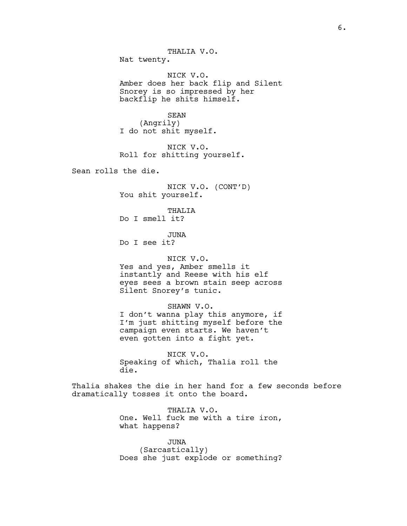THALIA V.O. Nat twenty. NICK V.O. Amber does her back flip and Silent Snorey is so impressed by her backflip he shits himself. SEAN (Angrily) I do not shit myself. NICK V.O. Roll for shitting yourself. Sean rolls the die. NICK V.O. (CONT'D) You shit yourself. THALIA Do I smell it? JUNA Do I see it? NICK V.O. Yes and yes, Amber smells it instantly and Reese with his elf eyes sees a brown stain seep across Silent Snorey's tunic. SHAWN V.O. I don't wanna play this anymore, if I'm just shitting myself before the campaign even starts. We haven't even gotten into a fight yet. NICK V.O. Speaking of which, Thalia roll the die. Thalia shakes the die in her hand for a few seconds before dramatically tosses it onto the board.

> THALIA V.O. One. Well fuck me with a tire iron, what happens?

> JUNA (Sarcastically) Does she just explode or something?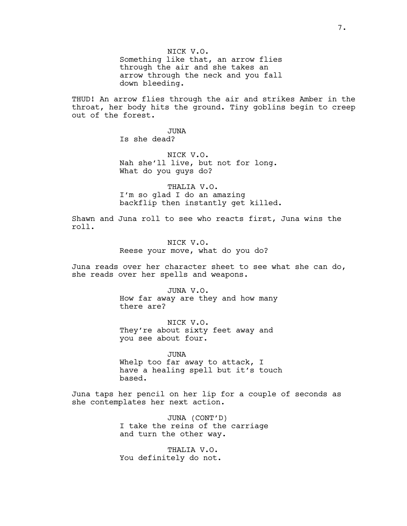NICK V.O. Something like that, an arrow flies through the air and she takes an arrow through the neck and you fall down bleeding.

THUD! An arrow flies through the air and strikes Amber in the throat, her body hits the ground. Tiny goblins begin to creep out of the forest.

> JUNA Is she dead?

NICK V.O. Nah she'll live, but not for long. What do you guys do?

THALIA V.O. I'm so glad I do an amazing backflip then instantly get killed.

Shawn and Juna roll to see who reacts first, Juna wins the roll.

> NICK V.O. Reese your move, what do you do?

Juna reads over her character sheet to see what she can do, she reads over her spells and weapons.

JUNA V.O.

How far away are they and how many there are?

NICK V.O. They're about sixty feet away and you see about four.

JUNA Whelp too far away to attack, I have a healing spell but it's touch based.

Juna taps her pencil on her lip for a couple of seconds as she contemplates her next action.

> JUNA (CONT'D) I take the reins of the carriage and turn the other way.

THALIA V.O. You definitely do not.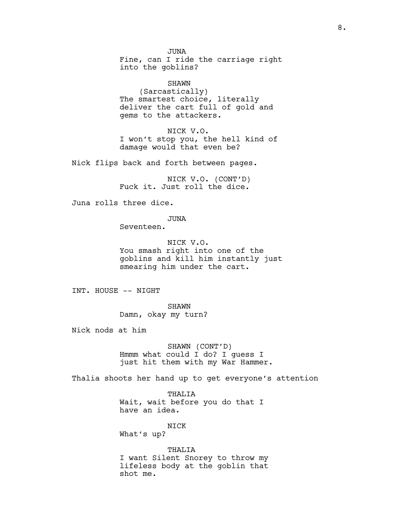JUNA Fine, can I ride the carriage right into the goblins?

SHAWN (Sarcastically) The smartest choice, literally deliver the cart full of gold and gems to the attackers.

NICK V.O. I won't stop you, the hell kind of damage would that even be?

Nick flips back and forth between pages.

NICK V.O. (CONT'D) Fuck it. Just roll the dice.

Juna rolls three dice.

JUNA

Seventeen.

NICK V.O. You smash right into one of the goblins and kill him instantly just smearing him under the cart.

INT. HOUSE -- NIGHT

SHAWN Damn, okay my turn?

Nick nods at him

SHAWN (CONT'D) Hmmm what could I do? I guess I just hit them with my War Hammer.

Thalia shoots her hand up to get everyone's attention

THALIA Wait, wait before you do that I have an idea.

NICK What's up?

THALIA I want Silent Snorey to throw my lifeless body at the goblin that shot me.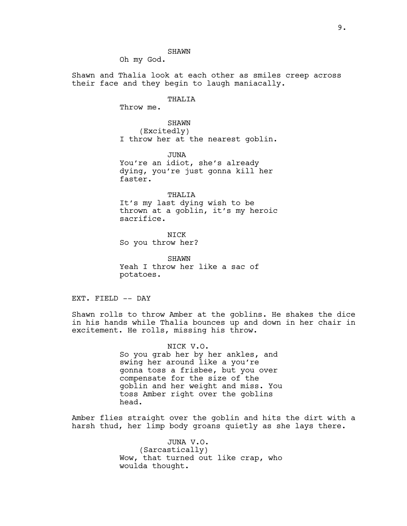Oh my God.

Shawn and Thalia look at each other as smiles creep across their face and they begin to laugh maniacally.

## THALIA

Throw me.

SHAWN (Excitedly) I throw her at the nearest goblin.

JUNA

You're an idiot, she's already dying, you're just gonna kill her faster.

#### THALIA

It's my last dying wish to be thrown at a goblin, it's my heroic sacrifice.

NICK So you throw her?

SHAWN Yeah I throw her like a sac of potatoes.

EXT. FIELD -- DAY

Shawn rolls to throw Amber at the goblins. He shakes the dice in his hands while Thalia bounces up and down in her chair in excitement. He rolls, missing his throw.

> NICK V.O. So you grab her by her ankles, and swing her around like a you're gonna toss a frisbee, but you over compensate for the size of the goblin and her weight and miss. You toss Amber right over the goblins head.

Amber flies straight over the goblin and hits the dirt with a harsh thud, her limp body groans quietly as she lays there.

> JUNA V.O. (Sarcastically) Wow, that turned out like crap, who woulda thought.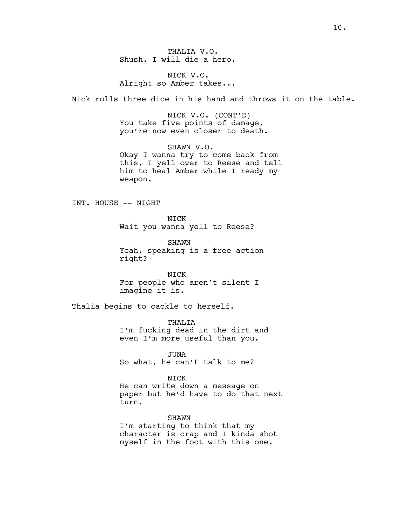THALIA V.O. Shush. I will die a hero.

NICK V.O. Alright so Amber takes...

Nick rolls three dice in his hand and throws it on the table.

NICK V.O. (CONT'D) You take five points of damage, you're now even closer to death.

SHAWN V.O. Okay I wanna try to come back from this, I yell over to Reese and tell him to heal Amber while I ready my weapon.

INT. HOUSE -- NIGHT

NICK Wait you wanna yell to Reese?

SHAWN Yeah, speaking is a free action right?

NICK For people who aren't silent I imagine it is.

Thalia begins to cackle to herself.

THALIA I'm fucking dead in the dirt and even I'm more useful than you.

JUNA So what, he can't talk to me?

NICK

He can write down a message on paper but he'd have to do that next turn.

SHAWN I'm starting to think that my character is crap and I kinda shot myself in the foot with this one.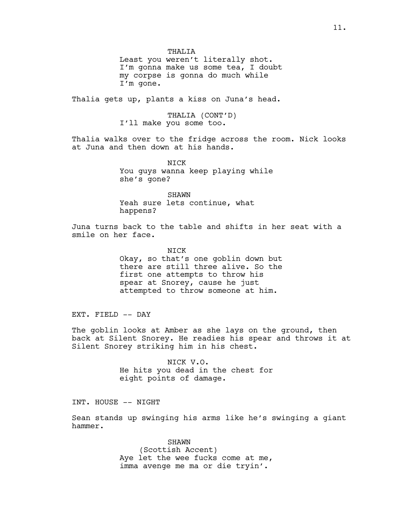Least you weren't literally shot. I'm gonna make us some tea, I doubt my corpse is gonna do much while I'm gone.

Thalia gets up, plants a kiss on Juna's head.

THALIA (CONT'D) I'll make you some too.

Thalia walks over to the fridge across the room. Nick looks at Juna and then down at his hands.

> NICK You guys wanna keep playing while she's gone?

SHAWN Yeah sure lets continue, what happens?

Juna turns back to the table and shifts in her seat with a smile on her face.

NICK

Okay, so that's one goblin down but there are still three alive. So the first one attempts to throw his spear at Snorey, cause he just attempted to throw someone at him.

EXT. FIELD -- DAY

The goblin looks at Amber as she lays on the ground, then back at Silent Snorey. He readies his spear and throws it at Silent Snorey striking him in his chest.

> NICK V.O. He hits you dead in the chest for eight points of damage.

INT. HOUSE -- NIGHT

Sean stands up swinging his arms like he's swinging a giant hammer.

> SHAWN (Scottish Accent) Aye let the wee fucks come at me, imma avenge me ma or die tryin'.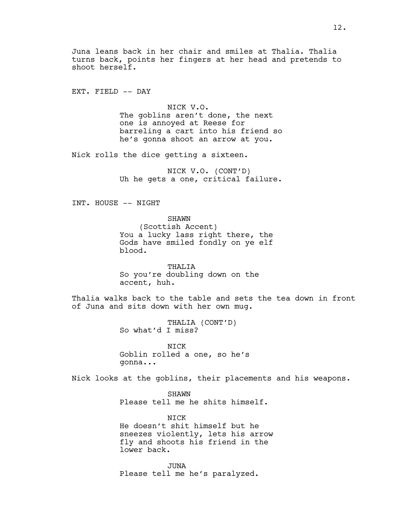Juna leans back in her chair and smiles at Thalia. Thalia turns back, points her fingers at her head and pretends to shoot herself.

EXT. FIELD -- DAY

NICK V.O. The goblins aren't done, the next one is annoyed at Reese for barreling a cart into his friend so he's gonna shoot an arrow at you.

Nick rolls the dice getting a sixteen.

NICK V.O. (CONT'D) Uh he gets a one, critical failure.

INT. HOUSE -- NIGHT

SHAWN (Scottish Accent) You a lucky lass right there, the Gods have smiled fondly on ye elf blood.

THALIA So you're doubling down on the accent, huh.

Thalia walks back to the table and sets the tea down in front of Juna and sits down with her own mug.

> THALIA (CONT'D) So what'd I miss?

**NTCK** Goblin rolled a one, so he's gonna...

Nick looks at the goblins, their placements and his weapons.

SHAWN Please tell me he shits himself.

**NTCK** He doesn't shit himself but he sneezes violently, lets his arrow fly and shoots his friend in the lower back.

JUNA Please tell me he's paralyzed.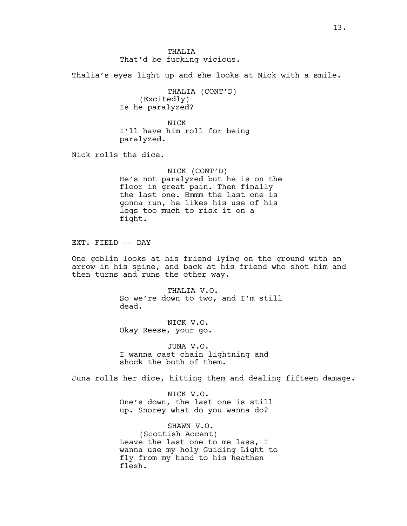THALLTA That'd be fucking vicious.

Thalia's eyes light up and she looks at Nick with a smile.

THALIA (CONT'D) (Excitedly) Is he paralyzed?

NICK I'll have him roll for being paralyzed.

Nick rolls the dice.

NICK (CONT'D) He's not paralyzed but he is on the floor in great pain. Then finally the last one. Hmmm the last one is gonna run, he likes his use of his legs too much to risk it on a fight.

EXT. FIELD -- DAY

One goblin looks at his friend lying on the ground with an arrow in his spine, and back at his friend who shot him and then turns and runs the other way.

> THALIA V.O. So we're down to two, and I'm still dead.

NICK V.O. Okay Reese, your go.

JUNA V.O. I wanna cast chain lightning and shock the both of them.

Juna rolls her dice, hitting them and dealing fifteen damage.

NICK V.O. One's down, the last one is still up. Snorey what do you wanna do?

SHAWN V.O. (Scottish Accent) Leave the last one to me lass, I wanna use my holy Guiding Light to fly from my hand to his heathen flesh.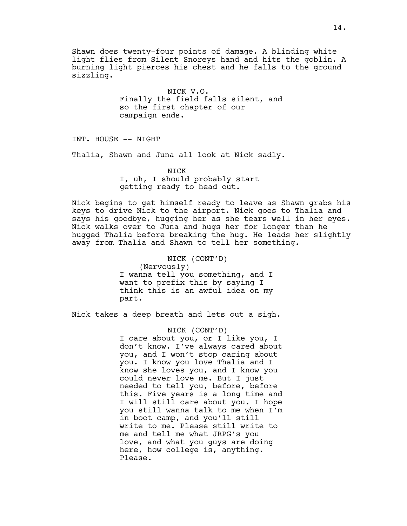Shawn does twenty-four points of damage. A blinding white light flies from Silent Snoreys hand and hits the goblin. A burning light pierces his chest and he falls to the ground sizzling.

> NICK V.O. Finally the field falls silent, and so the first chapter of our campaign ends.

INT. HOUSE -- NIGHT

Thalia, Shawn and Juna all look at Nick sadly.

NICK I, uh, I should probably start getting ready to head out.

Nick begins to get himself ready to leave as Shawn grabs his keys to drive Nick to the airport. Nick goes to Thalia and says his goodbye, hugging her as she tears well in her eyes. Nick walks over to Juna and hugs her for longer than he hugged Thalia before breaking the hug. He leads her slightly away from Thalia and Shawn to tell her something.

> NICK (CONT'D) (Nervously) I wanna tell you something, and I want to prefix this by saying I think this is an awful idea on my part.

Nick takes a deep breath and lets out a sigh.

#### NICK (CONT'D)

I care about you, or I like you, I don't know. I've always cared about you, and I won't stop caring about you. I know you love Thalia and I know she loves you, and I know you could never love me. But I just needed to tell you, before, before this. Five years is a long time and I will still care about you. I hope you still wanna talk to me when I'm in boot camp, and you'll still write to me. Please still write to me and tell me what JRPG's you love, and what you guys are doing here, how college is, anything. Please.